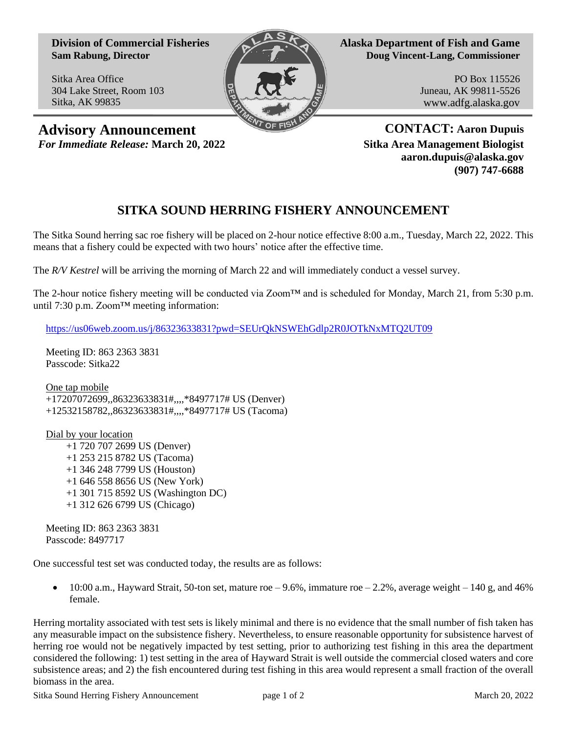**Division of Commercial Fisheries Sam Rabung, Director**

Sitka Area Office 304 Lake Street, Room 103 Sitka, AK 99835



**Alaska Department of Fish and Game Doug Vincent-Lang, Commissioner**

> PO Box 115526 Juneau, AK 99811-5526 www.adfg.alaska.gov

**Advisory Announcement CONTACT:** Aaron Dupuis *For Immediate Release:* **March 20, 2022 Sitka Area Management Biologist**

**aaron.dupuis@alaska.gov (907) 747-6688**

## **SITKA SOUND HERRING FISHERY ANNOUNCEMENT**

The Sitka Sound herring sac roe fishery will be placed on 2-hour notice effective 8:00 a.m., Tuesday, March 22, 2022. This means that a fishery could be expected with two hours' notice after the effective time.

The *R/V Kestrel* will be arriving the morning of March 22 and will immediately conduct a vessel survey.

The 2-hour notice fishery meeting will be conducted via Zoom™ and is scheduled for Monday, March 21, from 5:30 p.m. until 7:30 p.m. Zoom™ meeting information:

[https://us06web.zoom.us/j/86323633831?pwd=SEUrQkNSWEhGdlp2R0JOTkNxMTQ2UT09](https://gcc02.safelinks.protection.outlook.com/?url=https%3A%2F%2Fus06web.zoom.us%2Fj%2F86323633831%3Fpwd%3DSEUrQkNSWEhGdlp2R0JOTkNxMTQ2UT09&data=04%7C01%7Caaron.dupuis%40alaska.gov%7Cde0feafec5f34d0756e508da0abc48b0%7C20030bf67ad942f7927359ea83fcfa38%7C0%7C0%7C637834101029952113%7CUnknown%7CTWFpbGZsb3d8eyJWIjoiMC4wLjAwMDAiLCJQIjoiV2luMzIiLCJBTiI6Ik1haWwiLCJXVCI6Mn0%3D%7C3000&sdata=kqKeu3q0adxwK1NOnbkz7B%2FsKubP0Oi0aHg3L%2Bu%2BSII%3D&reserved=0)

Meeting ID: 863 2363 3831 Passcode: Sitka22

One tap mobile +17207072699,,86323633831#,,,,\*8497717# US (Denver) +12532158782,,86323633831#,,,,\*8497717# US (Tacoma)

Dial by your location +1 720 707 2699 US (Denver) +1 253 215 8782 US (Tacoma) +1 346 248 7799 US (Houston) +1 646 558 8656 US (New York) +1 301 715 8592 US (Washington DC) +1 312 626 6799 US (Chicago)

Meeting ID: 863 2363 3831 Passcode: 8497717

One successful test set was conducted today, the results are as follows:

• 10:00 a.m., Hayward Strait, 50-ton set, mature roe  $-9.6\%$ , immature roe  $-2.2\%$ , average weight  $-140$  g, and 46% female.

Herring mortality associated with test sets is likely minimal and there is no evidence that the small number of fish taken has any measurable impact on the subsistence fishery. Nevertheless, to ensure reasonable opportunity for subsistence harvest of herring roe would not be negatively impacted by test setting, prior to authorizing test fishing in this area the department considered the following: 1) test setting in the area of Hayward Strait is well outside the commercial closed waters and core subsistence areas; and 2) the fish encountered during test fishing in this area would represent a small fraction of the overall biomass in the area.